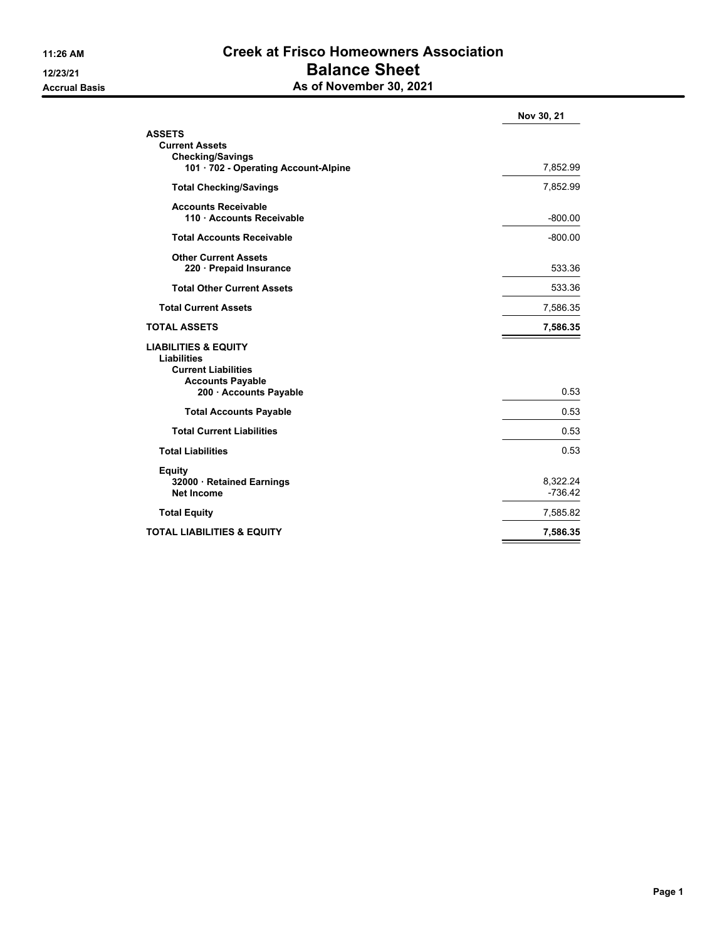### **11:26 AM Creek at Frisco Homeowners Association 12/23/21 Balance Sheet Accrual Basis As of November 30, 2021**

|                                                  | Nov 30, 21 |
|--------------------------------------------------|------------|
| <b>ASSETS</b>                                    |            |
| <b>Current Assets</b><br><b>Checking/Savings</b> |            |
| 101 · 702 - Operating Account-Alpine             | 7,852.99   |
| <b>Total Checking/Savings</b>                    | 7,852.99   |
| <b>Accounts Receivable</b>                       |            |
| 110 · Accounts Receivable                        | $-800.00$  |
| <b>Total Accounts Receivable</b>                 | $-800.00$  |
| <b>Other Current Assets</b>                      |            |
| 220 Prepaid Insurance                            | 533.36     |
| <b>Total Other Current Assets</b>                | 533.36     |
| <b>Total Current Assets</b>                      | 7,586.35   |
| <b>TOTAL ASSETS</b>                              | 7,586.35   |
| <b>LIABILITIES &amp; EQUITY</b>                  |            |
| <b>Liabilities</b><br><b>Current Liabilities</b> |            |
| <b>Accounts Payable</b>                          |            |
| 200 · Accounts Payable                           | 0.53       |
| <b>Total Accounts Payable</b>                    | 0.53       |
| <b>Total Current Liabilities</b>                 | 0.53       |
| <b>Total Liabilities</b>                         | 0.53       |
| <b>Equity</b>                                    |            |
| 32000 Retained Earnings                          | 8,322.24   |
| <b>Net Income</b>                                | $-736.42$  |
| <b>Total Equity</b>                              | 7,585.82   |
| <b>TOTAL LIABILITIES &amp; EQUITY</b>            | 7,586.35   |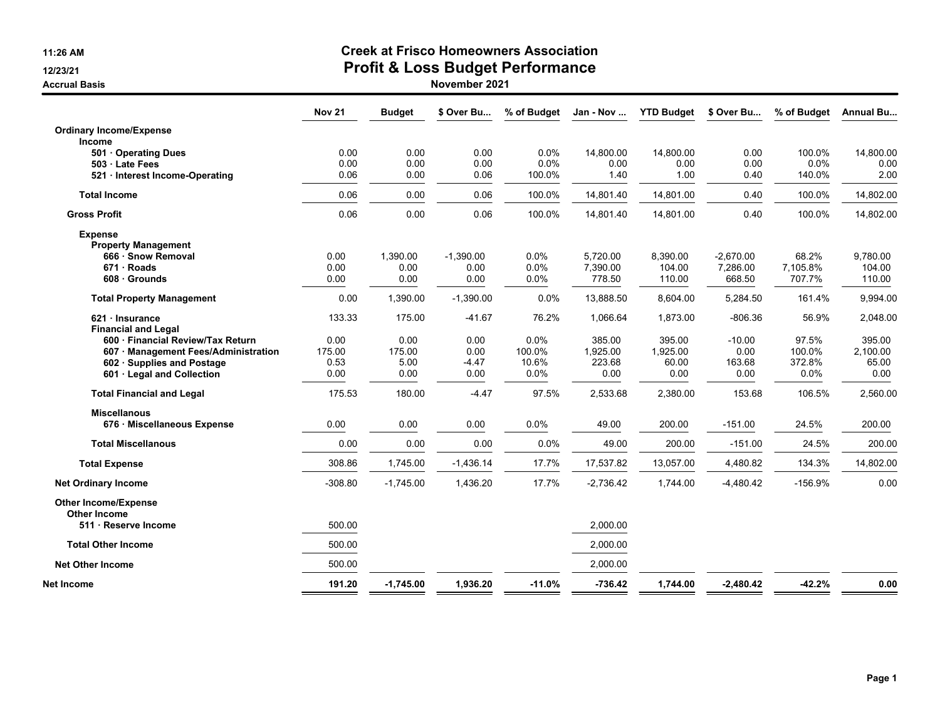**11:26 AM**

**12/23/21**

**Accrual Basis**

## **Creek at Frisco Homeowners Association**

# **Profit & Loss Budget Performance**

|                                                                                                                                     | <b>Nov 21</b>                  | <b>Budget</b>                  | \$ Over Bu                      | % of Budget                     | Jan - Nov                            | <b>YTD Budget</b>                   | \$ Over Bu                         | % of Budget                       | Annual Bu                           |
|-------------------------------------------------------------------------------------------------------------------------------------|--------------------------------|--------------------------------|---------------------------------|---------------------------------|--------------------------------------|-------------------------------------|------------------------------------|-----------------------------------|-------------------------------------|
| <b>Ordinary Income/Expense</b><br><b>Income</b>                                                                                     |                                |                                |                                 |                                 |                                      |                                     |                                    |                                   |                                     |
| 501 Operating Dues<br>503 Late Fees<br>521 Interest Income-Operating                                                                | 0.00<br>0.00<br>0.06           | 0.00<br>0.00<br>0.00           | 0.00<br>0.00<br>0.06            | 0.0%<br>0.0%<br>100.0%          | 14,800.00<br>0.00<br>1.40            | 14,800.00<br>0.00<br>1.00           | 0.00<br>0.00<br>0.40               | 100.0%<br>0.0%<br>140.0%          | 14,800.00<br>0.00<br>2.00           |
| <b>Total Income</b>                                                                                                                 | 0.06                           | 0.00                           | 0.06                            | 100.0%                          | 14,801.40                            | 14,801.00                           | 0.40                               | 100.0%                            | 14,802.00                           |
| <b>Gross Profit</b>                                                                                                                 | 0.06                           | 0.00                           | 0.06                            | 100.0%                          | 14,801.40                            | 14,801.00                           | 0.40                               | 100.0%                            | 14,802.00                           |
| <b>Expense</b><br><b>Property Management</b>                                                                                        |                                |                                |                                 |                                 |                                      |                                     |                                    |                                   |                                     |
| 666 · Snow Removal<br>671 Roads<br>608 Grounds                                                                                      | 0.00<br>0.00<br>0.00           | 1.390.00<br>0.00<br>0.00       | $-1.390.00$<br>0.00<br>0.00     | 0.0%<br>0.0%<br>0.0%            | 5.720.00<br>7,390.00<br>778.50       | 8.390.00<br>104.00<br>110.00        | $-2.670.00$<br>7,286.00<br>668.50  | 68.2%<br>7,105.8%<br>707.7%       | 9.780.00<br>104.00<br>110.00        |
| <b>Total Property Management</b>                                                                                                    | 0.00                           | 1,390.00                       | $-1,390.00$                     | 0.0%                            | 13,888.50                            | 8,604.00                            | 5,284.50                           | 161.4%                            | 9,994.00                            |
| 621 · Insurance<br><b>Financial and Legal</b>                                                                                       | 133.33                         | 175.00                         | $-41.67$                        | 76.2%                           | 1,066.64                             | 1,873.00                            | $-806.36$                          | 56.9%                             | 2,048.00                            |
| 600 · Financial Review/Tax Return<br>607 · Management Fees/Administration<br>602 Supplies and Postage<br>601 · Legal and Collection | 0.00<br>175.00<br>0.53<br>0.00 | 0.00<br>175.00<br>5.00<br>0.00 | 0.00<br>0.00<br>$-4.47$<br>0.00 | 0.0%<br>100.0%<br>10.6%<br>0.0% | 385.00<br>1,925.00<br>223.68<br>0.00 | 395.00<br>1,925.00<br>60.00<br>0.00 | $-10.00$<br>0.00<br>163.68<br>0.00 | 97.5%<br>100.0%<br>372.8%<br>0.0% | 395.00<br>2,100.00<br>65.00<br>0.00 |
| <b>Total Financial and Legal</b>                                                                                                    | 175.53                         | 180.00                         | $-4.47$                         | 97.5%                           | 2,533.68                             | 2,380.00                            | 153.68                             | 106.5%                            | 2,560.00                            |
| <b>Miscellanous</b><br>676 · Miscellaneous Expense                                                                                  | 0.00                           | 0.00                           | 0.00                            | 0.0%                            | 49.00                                | 200.00                              | $-151.00$                          | 24.5%                             | 200.00                              |
| <b>Total Miscellanous</b>                                                                                                           | 0.00                           | 0.00                           | 0.00                            | 0.0%                            | 49.00                                | 200.00                              | $-151.00$                          | 24.5%                             | 200.00                              |
| <b>Total Expense</b>                                                                                                                | 308.86                         | 1,745.00                       | $-1,436.14$                     | 17.7%                           | 17,537.82                            | 13,057.00                           | 4,480.82                           | 134.3%                            | 14,802.00                           |
| <b>Net Ordinary Income</b>                                                                                                          | $-308.80$                      | $-1,745.00$                    | 1,436.20                        | 17.7%                           | $-2,736.42$                          | 1,744.00                            | $-4,480.42$                        | $-156.9%$                         | 0.00                                |
| <b>Other Income/Expense</b><br><b>Other Income</b>                                                                                  |                                |                                |                                 |                                 |                                      |                                     |                                    |                                   |                                     |
| 511 Reserve Income                                                                                                                  | 500.00                         |                                |                                 |                                 | 2,000.00                             |                                     |                                    |                                   |                                     |
| <b>Total Other Income</b>                                                                                                           | 500.00                         |                                |                                 |                                 | 2,000.00                             |                                     |                                    |                                   |                                     |
| <b>Net Other Income</b>                                                                                                             | 500.00                         |                                |                                 |                                 | 2.000.00                             |                                     |                                    |                                   |                                     |
| <b>Net Income</b>                                                                                                                   | 191.20                         | $-1,745.00$                    | 1,936.20                        | $-11.0%$                        | $-736.42$                            | 1,744.00                            | $-2,480.42$                        | $-42.2%$                          | 0.00                                |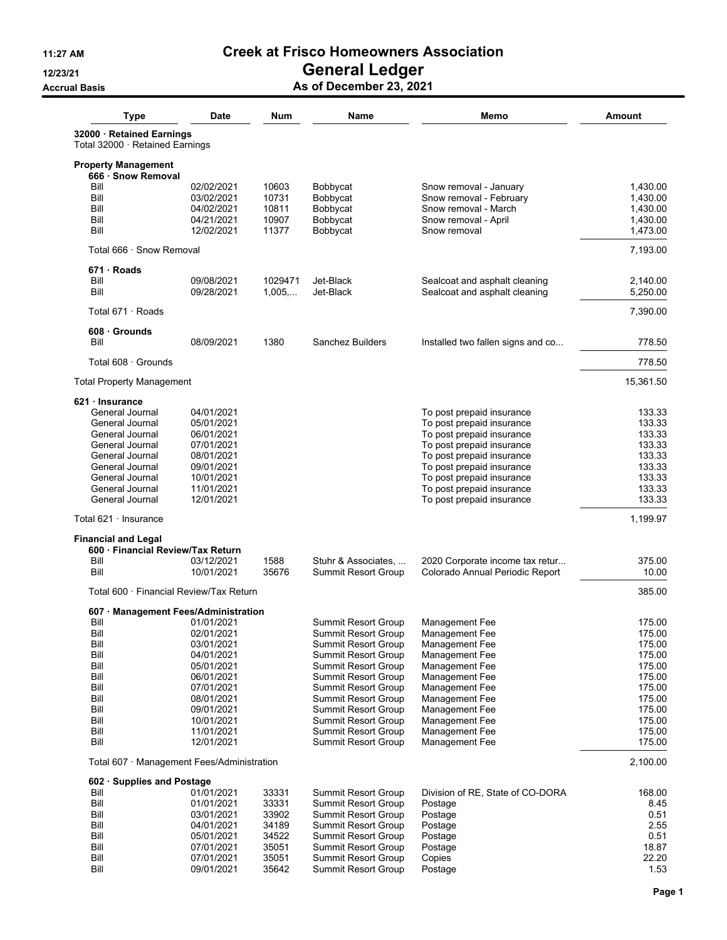### **11:27 AM Creek at Frisco Homeowners Association 12/23/21 General Ledger Accrual Basis As of December 23, 2021**

| <b>Type</b>                                                  | <b>Date</b>              | Num     | Name                                                     | Memo                                                   | <b>Amount</b>    |
|--------------------------------------------------------------|--------------------------|---------|----------------------------------------------------------|--------------------------------------------------------|------------------|
| 32000 · Retained Earnings<br>Total 32000 · Retained Earnings |                          |         |                                                          |                                                        |                  |
| <b>Property Management</b><br>666 Snow Removal               |                          |         |                                                          |                                                        |                  |
| Bill                                                         | 02/02/2021               | 10603   | Bobbycat                                                 | Snow removal - January                                 | 1,430.00         |
| Bill                                                         | 03/02/2021               | 10731   | Bobbycat                                                 | Snow removal - February                                | 1,430.00         |
| Bill                                                         | 04/02/2021               | 10811   | Bobbycat                                                 | Snow removal - March                                   | 1,430.00         |
| Bill                                                         | 04/21/2021               | 10907   | Bobbycat                                                 | Snow removal - April                                   | 1,430.00         |
| Bill                                                         | 12/02/2021               | 11377   | Bobbycat                                                 | Snow removal                                           | 1,473.00         |
| Total 666 · Snow Removal                                     |                          |         |                                                          |                                                        | 7,193.00         |
| 671 · Roads                                                  |                          |         |                                                          |                                                        |                  |
| Bill                                                         | 09/08/2021               | 1029471 | Jet-Black                                                | Sealcoat and asphalt cleaning                          | 2,140.00         |
| Bill                                                         | 09/28/2021               | 1,005,  | Jet-Black                                                | Sealcoat and asphalt cleaning                          | 5,250.00         |
| Total 671 · Roads                                            |                          |         |                                                          |                                                        | 7,390.00         |
| 608 Grounds                                                  |                          |         |                                                          |                                                        |                  |
| Bill                                                         | 08/09/2021               | 1380    | Sanchez Builders                                         | Installed two fallen signs and co                      | 778.50           |
| Total 608 · Grounds                                          |                          |         |                                                          |                                                        | 778.50           |
| <b>Total Property Management</b>                             |                          |         |                                                          |                                                        | 15,361.50        |
| $621 \cdot$ Insurance                                        |                          |         |                                                          |                                                        |                  |
| General Journal                                              | 04/01/2021               |         |                                                          | To post prepaid insurance                              | 133.33           |
| General Journal                                              | 05/01/2021               |         |                                                          | To post prepaid insurance                              | 133.33           |
| General Journal                                              | 06/01/2021               |         |                                                          | To post prepaid insurance                              | 133.33           |
| General Journal                                              | 07/01/2021               |         |                                                          | To post prepaid insurance                              | 133.33           |
| General Journal                                              | 08/01/2021               |         |                                                          | To post prepaid insurance                              | 133.33           |
| General Journal                                              | 09/01/2021               |         |                                                          | To post prepaid insurance                              | 133.33           |
| General Journal                                              | 10/01/2021               |         |                                                          | To post prepaid insurance                              | 133.33           |
| General Journal<br>General Journal                           | 11/01/2021<br>12/01/2021 |         |                                                          | To post prepaid insurance<br>To post prepaid insurance | 133.33<br>133.33 |
| Total 621 · Insurance                                        |                          |         |                                                          |                                                        | 1,199.97         |
| <b>Financial and Legal</b>                                   |                          |         |                                                          |                                                        |                  |
| 600 · Financial Review/Tax Return                            |                          |         |                                                          |                                                        |                  |
| Bill                                                         | 03/12/2021               | 1588    | Stuhr & Associates,                                      | 2020 Corporate income tax retur                        | 375.00           |
| Bill                                                         | 10/01/2021               | 35676   | <b>Summit Resort Group</b>                               | Colorado Annual Periodic Report                        | 10.00            |
| Total 600 · Financial Review/Tax Return                      |                          |         |                                                          |                                                        | 385.00           |
| 607 Management Fees/Administration                           |                          |         |                                                          |                                                        |                  |
| Bill                                                         | 01/01/2021               |         | <b>Summit Resort Group</b>                               | <b>Management Fee</b>                                  | 175.00           |
| Bill                                                         | 02/01/2021               |         | Summit Resort Group                                      | Management Fee                                         | 175.00           |
| Bill                                                         | 03/01/2021               |         | <b>Summit Resort Group</b>                               | Management Fee                                         | 175.00           |
| Bill                                                         | 04/01/2021               |         | <b>Summit Resort Group</b>                               | Management Fee                                         | 175.00           |
| Bill                                                         | 05/01/2021               |         | <b>Summit Resort Group</b>                               | Management Fee                                         | 175.00           |
| Bill                                                         | 06/01/2021               |         | Summit Resort Group                                      | Management Fee                                         | 175.00           |
| Bill<br>Bill                                                 | 07/01/2021<br>08/01/2021 |         | <b>Summit Resort Group</b><br><b>Summit Resort Group</b> | Management Fee                                         | 175.00<br>175.00 |
| Bill                                                         | 09/01/2021               |         | <b>Summit Resort Group</b>                               | Management Fee<br>Management Fee                       | 175.00           |
| Bill                                                         | 10/01/2021               |         | Summit Resort Group                                      | Management Fee                                         | 175.00           |
| Bill                                                         | 11/01/2021               |         | <b>Summit Resort Group</b>                               | Management Fee                                         | 175.00           |
| Bill                                                         | 12/01/2021               |         | <b>Summit Resort Group</b>                               | Management Fee                                         | 175.00           |
| Total 607 · Management Fees/Administration                   |                          |         |                                                          |                                                        | 2,100.00         |
| 602 Supplies and Postage                                     |                          |         |                                                          |                                                        |                  |
| Bill                                                         | 01/01/2021               | 33331   | <b>Summit Resort Group</b>                               | Division of RE, State of CO-DORA                       | 168.00           |
| Bill                                                         | 01/01/2021               | 33331   | Summit Resort Group                                      | Postage                                                | 8.45             |
| Bill                                                         | 03/01/2021               | 33902   | Summit Resort Group                                      | Postage                                                | 0.51             |
| Bill                                                         | 04/01/2021               | 34189   | Summit Resort Group                                      | Postage                                                | 2.55             |
| Bill                                                         | 05/01/2021               | 34522   | Summit Resort Group                                      | Postage                                                | 0.51             |
| Bill                                                         | 07/01/2021               | 35051   | Summit Resort Group                                      | Postage                                                | 18.87            |
| Bill                                                         | 07/01/2021               | 35051   | <b>Summit Resort Group</b>                               | Copies                                                 | 22.20            |
| Bill                                                         | 09/01/2021               | 35642   | <b>Summit Resort Group</b>                               | Postage                                                | 1.53             |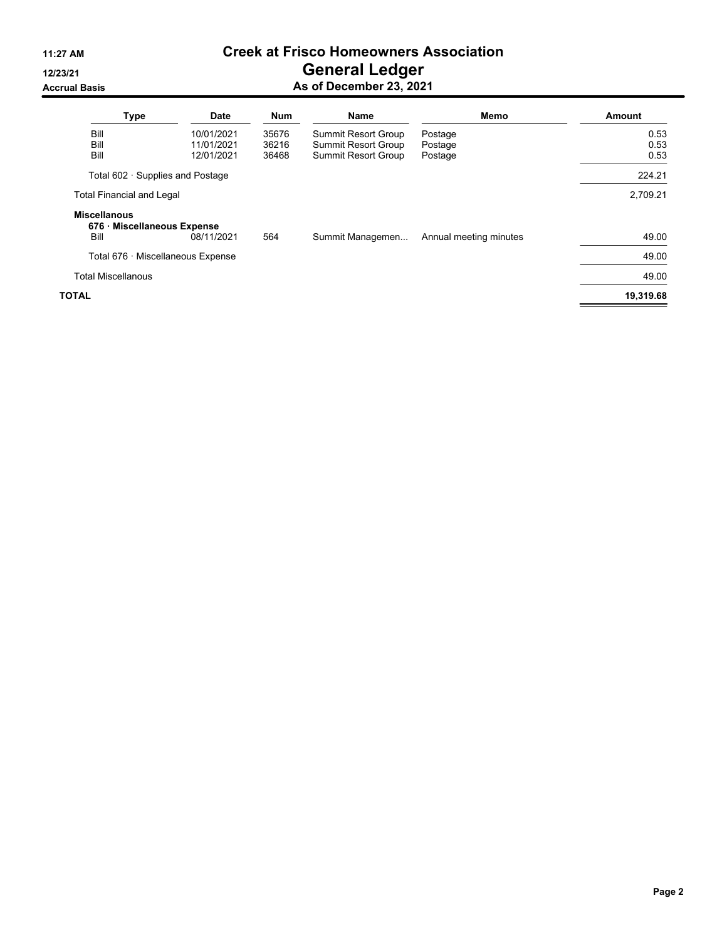### **11:27 AM Creek at Frisco Homeowners Association 12/23/21 General Ledger Accrual Basis As of December 23, 2021**

| <b>Type</b>                                                | <b>Date</b> | <b>Num</b> | <b>Name</b>                | Memo                   | Amount    |
|------------------------------------------------------------|-------------|------------|----------------------------|------------------------|-----------|
| Bill                                                       | 10/01/2021  | 35676      | Summit Resort Group        | Postage                | 0.53      |
| Bill                                                       | 11/01/2021  | 36216      | <b>Summit Resort Group</b> | Postage                | 0.53      |
| Bill                                                       | 12/01/2021  | 36468      | <b>Summit Resort Group</b> | Postage                | 0.53      |
| Total 602 · Supplies and Postage                           |             |            |                            |                        | 224.21    |
| <b>Total Financial and Legal</b>                           |             |            |                            |                        | 2,709.21  |
| <b>Miscellanous</b><br>676 · Miscellaneous Expense<br>Bill | 08/11/2021  | 564        | Summit Managemen           | Annual meeting minutes | 49.00     |
| Total 676 · Miscellaneous Expense                          |             |            |                            |                        | 49.00     |
| <b>Total Miscellanous</b>                                  |             |            |                            |                        | 49.00     |
| TOTAL                                                      |             |            |                            |                        | 19,319.68 |